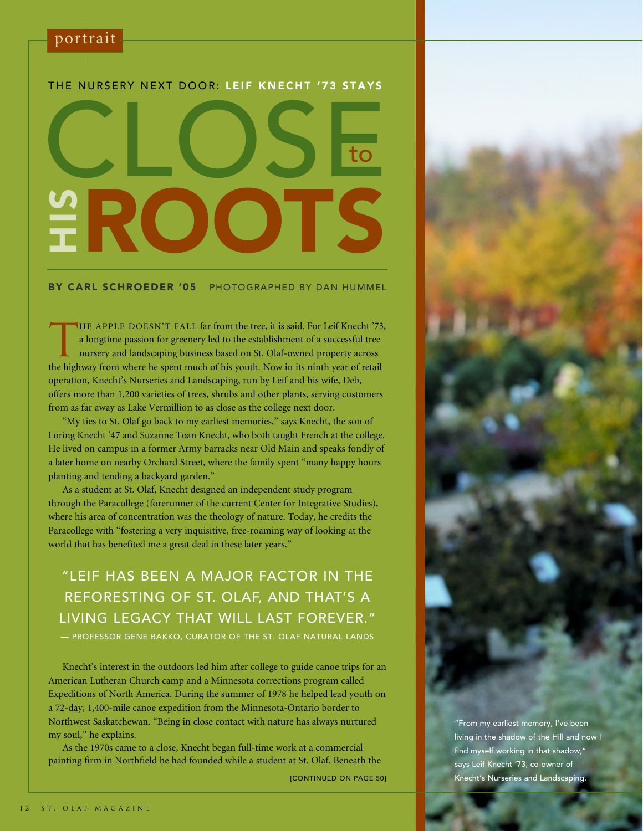## portrait

### THE NURSERY NEXT DOOR: LEIF KNECHT '73 STAYS

# CLOSE ROOTS HIS to

#### BY CARL SCHROEDER '05 PHOTOGRAPHED BY DAN HUMMEL

THE APPLE DOESN'T FALL far from the tree, it is said. For Leif Knecht '73,<br>a longtime passion for greenery led to the establishment of a successful tree<br>nursery and landscaping business based on St. Olaf-owned property acr a longtime passion for greenery led to the establishment of a successful tree nursery and landscaping business based on St. Olaf-owned property across the highway from where he spent much of his youth. Now in its ninth year of retail operation, Knecht's Nurseries and Landscaping, run by Leif and his wife, Deb, offers more than 1,200 varieties of trees, shrubs and other plants, serving customers from as far away as Lake Vermillion to as close as the college next door.

"My ties to St. Olaf go back to my earliest memories," says Knecht, the son of Loring Knecht '47 and Suzanne Toan Knecht, who both taught French at the college. He lived on campus in a former Army barracks near Old Main and speaks fondly of a later home on nearby Orchard Street, where the family spent "many happy hours planting and tending a backyard garden."

As a student at St. Olaf, Knecht designed an independent study program through the Paracollege (forerunner of the current Center for Integrative Studies), where his area of concentration was the theology of nature. Today, he credits the Paracollege with "fostering a very inquisitive, free-roaming way of looking at the world that has benefited me a great deal in these later years."

"LEIF HAS BEEN A MAJOR FACTOR IN THE REFORESTING OF ST. OLAF, AND THAT'S A LIVING LEGACY THAT WILL LAST FOREVER."

— PROFESSOR GENE BAKKO, CURATOR OF THE ST. OLAF NATURAL LANDS

Knecht's interest in the outdoors led him after college to guide canoe trips for an American Lutheran Church camp and a Minnesota corrections program called Expeditions of North America. During the summer of 1978 he helped lead youth on a 72-day, 1,400-mile canoe expedition from the Minnesota-Ontario border to Northwest Saskatchewan. "Being in close contact with nature has always nurtured my soul," he explains.

As the 1970s came to a close, Knecht began full-time work at a commercial painting firm in Northfield he had founded while a student at St. Olaf. Beneath the

[CONTINUED ON PAGE 50]

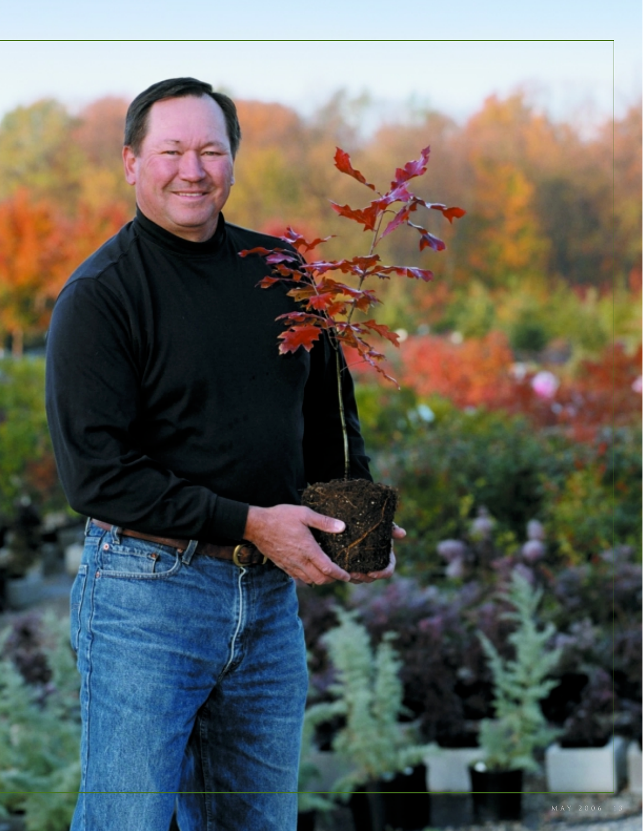